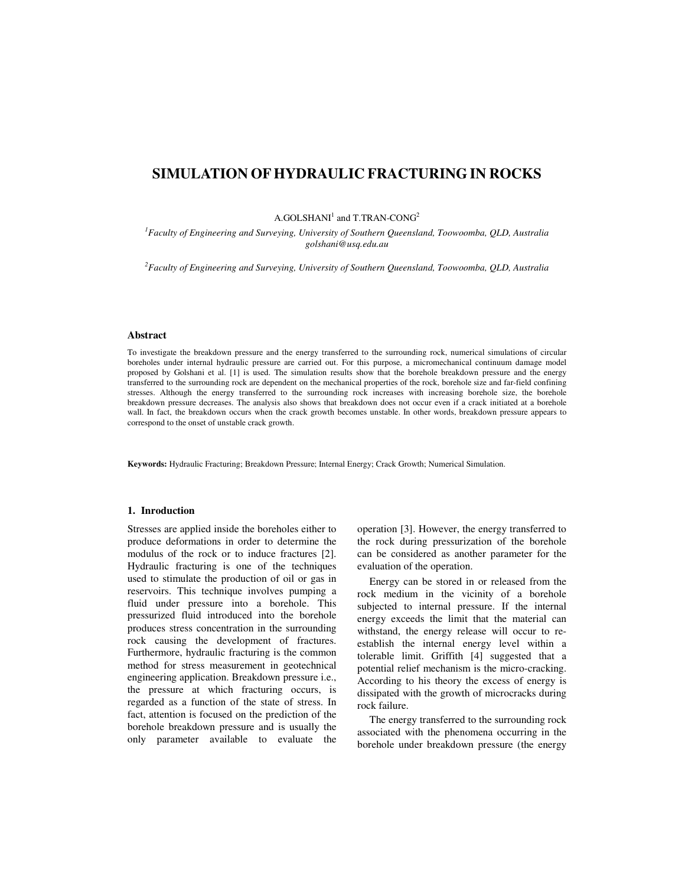# **SIMULATION OF HYDRAULIC FRACTURING IN ROCKS**

## $A.GOLSHANI<sup>1</sup>$  and T.TRAN-CONG<sup>2</sup>

*<sup>1</sup>Faculty of Engineering and Surveying, University of Southern Queensland, Toowoomba, QLD, Australia golshani@usq.edu.au* 

*<sup>2</sup>Faculty of Engineering and Surveying, University of Southern Queensland, Toowoomba, QLD, Australia* 

#### **Abstract**

To investigate the breakdown pressure and the energy transferred to the surrounding rock, numerical simulations of circular boreholes under internal hydraulic pressure are carried out. For this purpose, a micromechanical continuum damage model proposed by Golshani et al. [1] is used. The simulation results show that the borehole breakdown pressure and the energy transferred to the surrounding rock are dependent on the mechanical properties of the rock, borehole size and far-field confining stresses. Although the energy transferred to the surrounding rock increases with increasing borehole size, the borehole breakdown pressure decreases. The analysis also shows that breakdown does not occur even if a crack initiated at a borehole wall. In fact, the breakdown occurs when the crack growth becomes unstable. In other words, breakdown pressure appears to correspond to the onset of unstable crack growth.

**Keywords:** Hydraulic Fracturing; Breakdown Pressure; Internal Energy; Crack Growth; Numerical Simulation.

### **1. Inroduction**

Stresses are applied inside the boreholes either to produce deformations in order to determine the modulus of the rock or to induce fractures [2]. Hydraulic fracturing is one of the techniques used to stimulate the production of oil or gas in reservoirs. This technique involves pumping a fluid under pressure into a borehole. This pressurized fluid introduced into the borehole produces stress concentration in the surrounding rock causing the development of fractures. Furthermore, hydraulic fracturing is the common method for stress measurement in geotechnical engineering application. Breakdown pressure i.e., the pressure at which fracturing occurs, is regarded as a function of the state of stress. In fact, attention is focused on the prediction of the borehole breakdown pressure and is usually the only parameter available to evaluate the operation [3]. However, the energy transferred to the rock during pressurization of the borehole can be considered as another parameter for the evaluation of the operation.

Energy can be stored in or released from the rock medium in the vicinity of a borehole subjected to internal pressure. If the internal energy exceeds the limit that the material can withstand, the energy release will occur to reestablish the internal energy level within a tolerable limit. Griffith [4] suggested that a potential relief mechanism is the micro-cracking. According to his theory the excess of energy is dissipated with the growth of microcracks during rock failure.

The energy transferred to the surrounding rock associated with the phenomena occurring in the borehole under breakdown pressure (the energy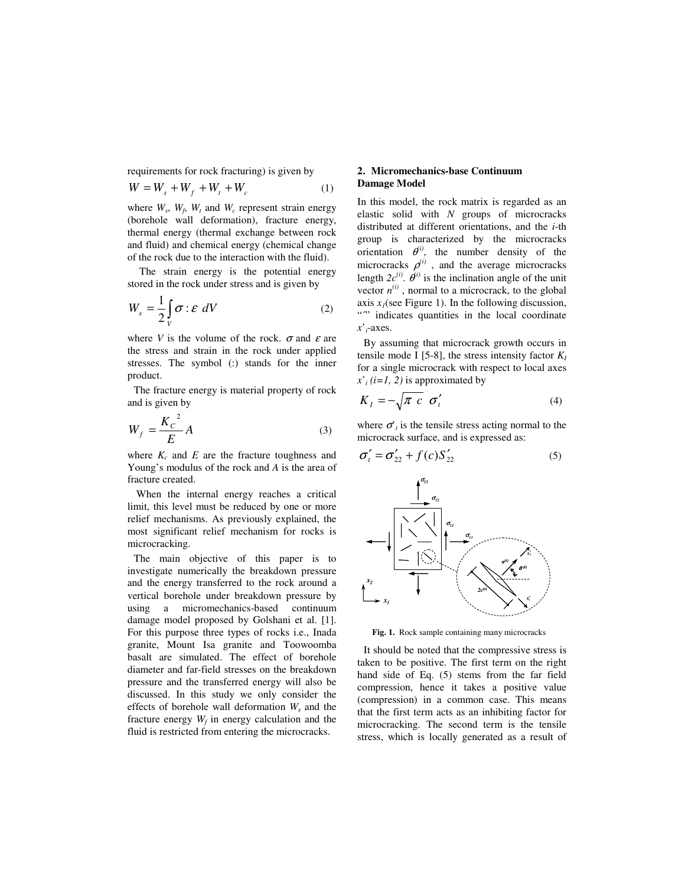requirements for rock fracturing) is given by

$$
W = W_s + W_f + W_t + W_c \tag{1}
$$

where  $W_s$ ,  $W_f$ ,  $W_t$  and  $W_c$  represent strain energy (borehole wall deformation), fracture energy, thermal energy (thermal exchange between rock and fluid) and chemical energy (chemical change of the rock due to the interaction with the fluid).

The strain energy is the potential energy stored in the rock under stress and is given by

$$
W_s = \frac{1}{2} \int\limits_V \sigma : \mathcal{E} \ dV \tag{2}
$$

where *V* is the volume of the rock.  $\sigma$  and  $\varepsilon$  are the stress and strain in the rock under applied stresses. The symbol (:) stands for the inner product.

The fracture energy is material property of rock and is given by

$$
W_f = \frac{K_c^2}{E} A \tag{3}
$$

where  $K_c$  and  $E$  are the fracture toughness and Young's modulus of the rock and *A* is the area of fracture created.

 When the internal energy reaches a critical limit, this level must be reduced by one or more relief mechanisms. As previously explained, the most significant relief mechanism for rocks is microcracking.

The main objective of this paper is to investigate numerically the breakdown pressure and the energy transferred to the rock around a vertical borehole under breakdown pressure by using a micromechanics-based continuum damage model proposed by Golshani et al. [1]. For this purpose three types of rocks i.e., Inada granite, Mount Isa granite and Toowoomba basalt are simulated. The effect of borehole diameter and far-field stresses on the breakdown pressure and the transferred energy will also be discussed. In this study we only consider the effects of borehole wall deformation *W<sup>s</sup>* and the fracture energy  $W_f$  in energy calculation and the fluid is restricted from entering the microcracks.

## **2. Micromechanics-base Continuum Damage Model**

In this model, the rock matrix is regarded as an elastic solid with *N* groups of microcracks distributed at different orientations, and the *i*-th group is characterized by the microcracks orientation  $\theta^{ij}$ , the number density of the microcracks  $\rho^{(i)}$ , and the average microcracks length  $2c^{(i)}$ .  $\theta^{(i)}$  is the inclination angle of the unit vector  $n^{(i)}$ , normal to a microcrack, to the global axis  $x_1$ (see Figure 1). In the following discussion, "" indicates quantities in the local coordinate *x*'*i*-axes.

By assuming that microcrack growth occurs in tensile mode I [5-8], the stress intensity factor *K<sup>I</sup>* for a single microcrack with respect to local axes  $x^i$ <sup>*i*</sup> (*i*=1, 2) is approximated by

$$
K_I = -\sqrt{\pi c} \sigma'_t \tag{4}
$$

where  $\sigma_t$  is the tensile stress acting normal to the microcrack surface, and is expressed as:

$$
\sigma'_{t} = \sigma'_{22} + f(c)S'_{22}
$$
 (5)



**Fig. 1.** Rock sample containing many microcracks

It should be noted that the compressive stress is taken to be positive. The first term on the right hand side of Eq. (5) stems from the far field compression, hence it takes a positive value (compression) in a common case. This means that the first term acts as an inhibiting factor for microcracking. The second term is the tensile stress, which is locally generated as a result of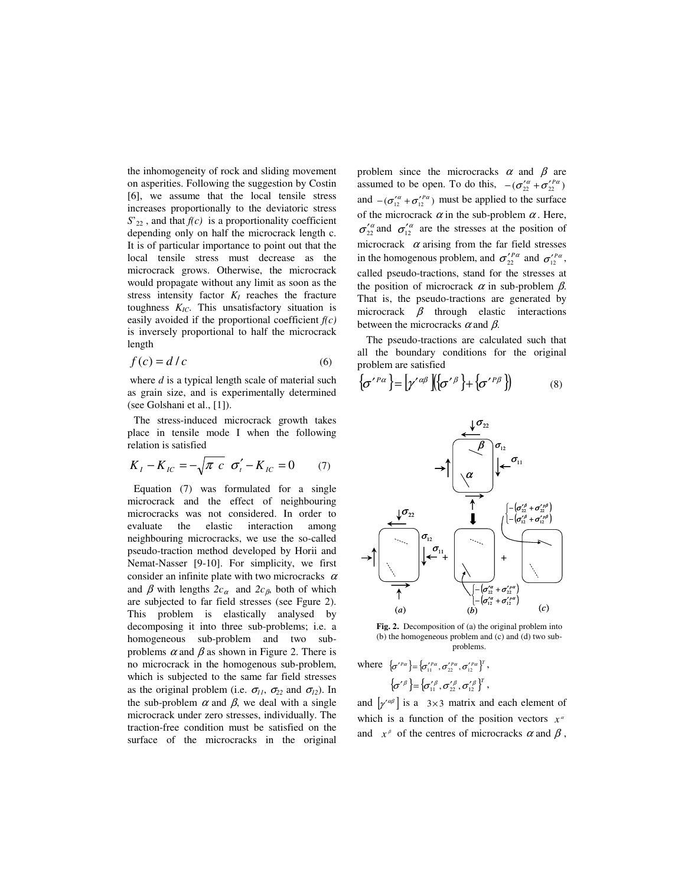the inhomogeneity of rock and sliding movement on asperities. Following the suggestion by Costin [6], we assume that the local tensile stress increases proportionally to the deviatoric stress  $S'_{22}$ , and that  $f(c)$  is a proportionality coefficient depending only on half the microcrack length c. It is of particular importance to point out that the local tensile stress must decrease as the microcrack grows. Otherwise, the microcrack would propagate without any limit as soon as the stress intensity factor  $K_I$  reaches the fracture toughness *KIC*. This unsatisfactory situation is easily avoided if the proportional coefficient *f(c)* is inversely proportional to half the microcrack length

$$
f(c) = d/c \tag{6}
$$

 where *d* is a typical length scale of material such as grain size, and is experimentally determined (see Golshani et al., [1]).

The stress-induced microcrack growth takes place in tensile mode I when the following relation is satisfied

$$
K_{I} - K_{IC} = -\sqrt{\pi c} \sigma'_{i} - K_{IC} = 0 \qquad (7)
$$

Equation (7) was formulated for a single microcrack and the effect of neighbouring microcracks was not considered. In order to evaluate the elastic interaction among neighbouring microcracks, we use the so-called pseudo-traction method developed by Horii and Nemat-Nasser [9-10]. For simplicity, we first consider an infinite plate with two microcracks  $\alpha$ and  $\beta$  with lengths  $2c_{\alpha}$  and  $2c_{\beta}$ , both of which are subjected to far field stresses (see Fgure 2). This problem is elastically analysed by decomposing it into three sub-problems; i.e. a homogeneous sub-problem and two subproblems  $\alpha$  and  $\beta$  as shown in Figure 2. There is no microcrack in the homogenous sub-problem, which is subjected to the same far field stresses as the original problem (i.e.  $\sigma_{11}$ ,  $\sigma_{22}$  and  $\sigma_{12}$ ). In the sub-problem  $\alpha$  and  $\beta$ , we deal with a single microcrack under zero stresses, individually. The traction-free condition must be satisfied on the surface of the microcracks in the original

problem since the microcracks  $\alpha$  and  $\beta$  are assumed to be open. To do this,  $-(\sigma_{22}^{\prime \alpha} + \sigma_{22}^{\prime \alpha})$ and  $- (\sigma_{12}^{\prime \alpha} + \sigma_{12}^{\prime \alpha})$  must be applied to the surface of the microcrack  $\alpha$  in the sub-problem  $\alpha$ . Here,  $\sigma_{22}^{\prime\alpha}$  and  $\sigma_{12}^{\prime\alpha}$  are the stresses at the position of microcrack  $\alpha$  arising from the far field stresses in the homogenous problem, and  $\sigma_{22}^{\prime \text{Pa}}$  and  $\sigma_{12}^{\prime \text{Pa}}$ , called pseudo-tractions, stand for the stresses at the position of microcrack  $\alpha$  in sub-problem  $\beta$ . That is, the pseudo-tractions are generated by microcrack  $\beta$  through elastic interactions between the microcracks  $\alpha$  and  $\beta$ .

 The pseudo-tractions are calculated such that all the boundary conditions for the original problem are satisfied

$$
\left\{\sigma^{\prime \beta \alpha}\right\} = \left[\gamma^{\prime \alpha \beta}\right] \left\{\left\{\sigma^{\prime \beta}\right\} + \left\{\sigma^{\prime \beta \beta}\right\}\right\} \tag{8}
$$



**Fig. 2.** Decomposition of (a) the original problem into (b) the homogeneous problem and (c) and (d) two subproblems.

where  $\{\sigma'^{P\alpha}\} = \{\sigma'^{P\alpha}_{11}, \sigma'^{P\alpha}_{22}, \sigma'^{P\alpha}_{12}\}^T$ ,  $\left\{\!{\sigma^\prime}^\beta\right\}\!=\!\left\{\!{\sigma^\prime_j}_1\!\!, {\sigma^\prime_j}_2\!\!, {\sigma^\prime_j}_2\!\right\}^T,$ 

and  $\left[ \gamma^{\alpha\beta} \right]$  is a 3×3 matrix and each element of which is a function of the position vectors  $x^{\alpha}$ and  $x^{\beta}$  of the centres of microcracks  $\alpha$  and  $\beta$ ,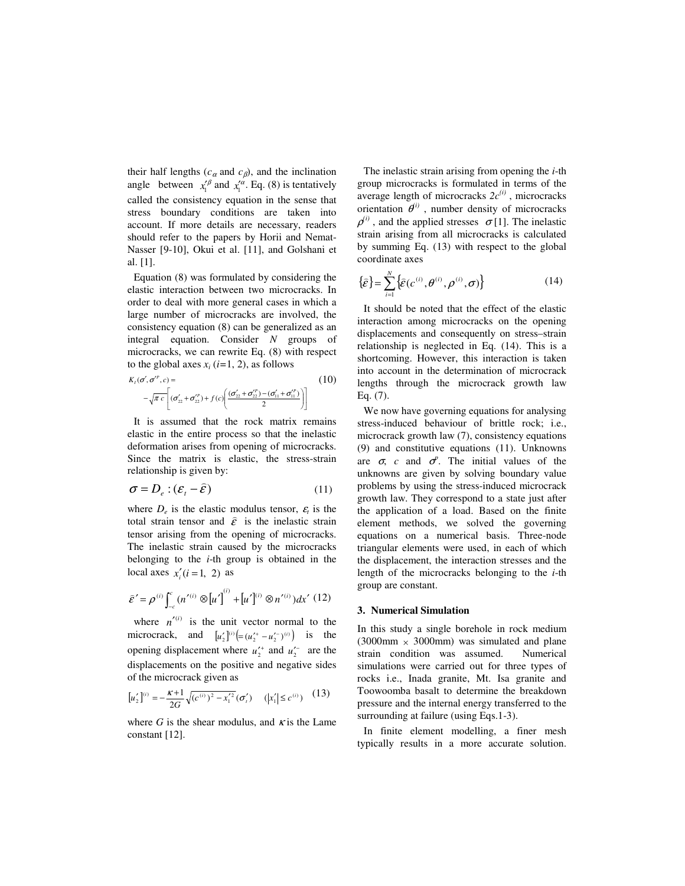their half lengths ( $c_{\alpha}$  and  $c_{\beta}$ ), and the inclination angle between  $x_1'^{\beta}$  and  $x_1'^{\alpha}$ . Eq. (8) is tentatively called the consistency equation in the sense that stress boundary conditions are taken into account. If more details are necessary, readers should refer to the papers by Horii and Nemat-Nasser [9-10], Okui et al. [11], and Golshani et al. [1].

Equation (8) was formulated by considering the elastic interaction between two microcracks. In order to deal with more general cases in which a large number of microcracks are involved, the consistency equation (8) can be generalized as an integral equation. Consider *N* groups of microcracks, we can rewrite Eq. (8) with respect to the global axes  $x_i$  ( $i=1, 2$ ), as follows

$$
K_{1}(\sigma', \sigma^{P}, c) =
$$
\n
$$
-\sqrt{\pi c} \left[ (\sigma'_{22} + \sigma'^{P}_{22}) + f(c) \left( \frac{(\sigma'_{22} + \sigma'^{P}_{22}) - (\sigma'_{11} + \sigma'^{P}_{11})}{2} \right) \right]
$$
\n(10)

It is assumed that the rock matrix remains elastic in the entire process so that the inelastic deformation arises from opening of microcracks. Since the matrix is elastic, the stress-strain relationship is given by:

$$
\sigma = D_e : (\varepsilon_t - \hat{\varepsilon}) \tag{11}
$$

where  $D_e$  is the elastic modulus tensor,  $\varepsilon_t$  is the total strain tensor and  $\hat{\varepsilon}$  is the inelastic strain tensor arising from the opening of microcracks. The inelastic strain caused by the microcracks belonging to the *i*-th group is obtained in the local axes  $x'_i$  (*i* = 1, 2) as

$$
\hat{\varepsilon}' = \rho^{(i)} \int_{-c}^{c} (n'^{(i)} \otimes [u']^{(i)} + [u']^{(i)} \otimes n'^{(i)}) dx' (12)
$$

where  $n'^{(i)}$  is the unit vector normal to the microcrack, and  $[u_2']^{(i)} \Big( = (u_2' + u_2' - u_2')^{(i)} \Big)$  is the opening displacement where  $u_2^{\prime +}$  and  $u_2^{\prime -}$  are the displacements on the positive and negative sides of the microcrack given as

$$
[u'_2]^{(i)} = -\frac{\kappa+1}{2G} \sqrt{(c^{(i)})^2 - x_1'^2} (\sigma'_i) \quad (|x'_1| \le c^{(i)}) \quad (13)
$$

where *G* is the shear modulus, and  $\kappa$  is the Lame constant [12].

The inelastic strain arising from opening the *i*-th group microcracks is formulated in terms of the average length of microcracks  $2c^{(i)}$ , microcracks orientation  $\theta^{i}$ , number density of microcracks  $\rho^{(i)}$ , and the applied stresses  $\sigma$ [1]. The inelastic strain arising from all microcracks is calculated by summing Eq. (13) with respect to the global coordinate axes

$$
\{\hat{\varepsilon}\} = \sum_{i=1}^{N} \{\hat{\varepsilon}(c^{(i)}, \theta^{(i)}, \rho^{(i)}, \sigma)\}
$$
 (14)

It should be noted that the effect of the elastic interaction among microcracks on the opening displacements and consequently on stress–strain relationship is neglected in Eq. (14). This is a shortcoming. However, this interaction is taken into account in the determination of microcrack lengths through the microcrack growth law Eq. (7).

We now have governing equations for analysing stress-induced behaviour of brittle rock; i.e., microcrack growth law (7), consistency equations (9) and constitutive equations (11). Unknowns are  $\sigma$ , *c* and  $\sigma$ <sup>*p*</sup>. The initial values of the unknowns are given by solving boundary value problems by using the stress-induced microcrack growth law. They correspond to a state just after the application of a load. Based on the finite element methods, we solved the governing equations on a numerical basis. Three-node triangular elements were used, in each of which the displacement, the interaction stresses and the length of the microcracks belonging to the *i*-th group are constant.

#### **3. Numerical Simulation**

In this study a single borehole in rock medium (3000mm  $\times$  3000mm) was simulated and plane strain condition was assumed. Numerical simulations were carried out for three types of rocks i.e., Inada granite, Mt. Isa granite and Toowoomba basalt to determine the breakdown pressure and the internal energy transferred to the surrounding at failure (using Eqs.1-3).

In finite element modelling, a finer mesh typically results in a more accurate solution.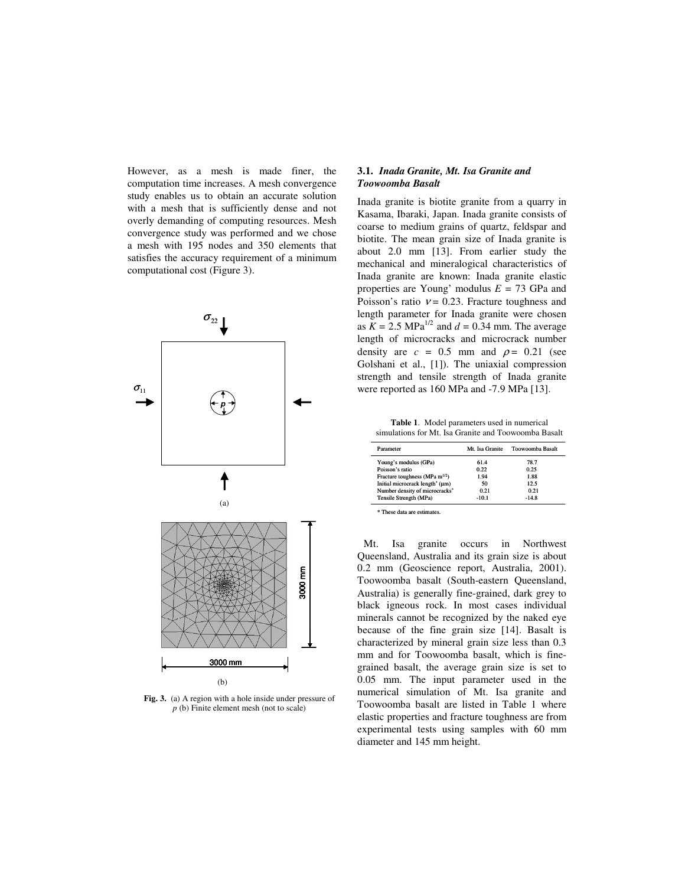However, as a mesh is made finer, the computation time increases. A mesh convergence study enables us to obtain an accurate solution with a mesh that is sufficiently dense and not overly demanding of computing resources. Mesh convergence study was performed and we chose a mesh with 195 nodes and 350 elements that satisfies the accuracy requirement of a minimum computational cost (Figure 3).



**Fig. 3.** (a) A region with a hole inside under pressure of *p* (b) Finite element mesh (not to scale)

# **3.1.** *Inada Granite, Mt. Isa Granite and Toowoomba Basalt*

Inada granite is biotite granite from a quarry in Kasama, Ibaraki, Japan. Inada granite consists of coarse to medium grains of quartz, feldspar and biotite. The mean grain size of Inada granite is about 2.0 mm [13]. From earlier study the mechanical and mineralogical characteristics of Inada granite are known: Inada granite elastic properties are Young' modulus *E =* 73 GPa and Poisson's ratio  $v = 0.23$ . Fracture toughness and length parameter for Inada granite were chosen as  $K = 2.5 \text{ MPa}^{1/2}$  and  $d = 0.34 \text{ mm}$ . The average length of microcracks and microcrack number density are  $c = 0.5$  mm and  $\rho = 0.21$  (see Golshani et al., [1]). The uniaxial compression strength and tensile strength of Inada granite were reported as 160 MPa and -7.9 MPa [13].

**Table 1**. Model parameters used in numerical simulations for Mt. Isa Granite and Toowoomba Basalt

| Parameter                                   | Mt. Isa Granite | Toowoomba Basalt |
|---------------------------------------------|-----------------|------------------|
| Young's modulus (GPa)                       | 61.4            | 78.7             |
| Poisson's ratio                             | 0.22            | 0.25             |
| Fracture toughness (MPa m <sup>1/2</sup> )  | 1.94            | 1.88             |
| Initial microcrack length <sup>*</sup> (µm) | 50              | 12.5             |
| Number density of microcracks*              | 0.21            | 0.21             |
| Tensile Strength (MPa)                      | $-10.1$         | $-14.8$          |

\* These data are estimates.

Mt. Isa granite occurs in Northwest Queensland, Australia and its grain size is about 0.2 mm (Geoscience report, Australia, 2001). Toowoomba basalt (South-eastern Queensland, Australia) is generally fine-grained, dark grey to black igneous rock. In most cases individual minerals cannot be recognized by the naked eye because of the fine grain size [14]. Basalt is characterized by mineral grain size less than 0.3 mm and for Toowoomba basalt, which is finegrained basalt, the average grain size is set to 0.05 mm. The input parameter used in the numerical simulation of Mt. Isa granite and Toowoomba basalt are listed in Table 1 where elastic properties and fracture toughness are from experimental tests using samples with 60 mm diameter and 145 mm height.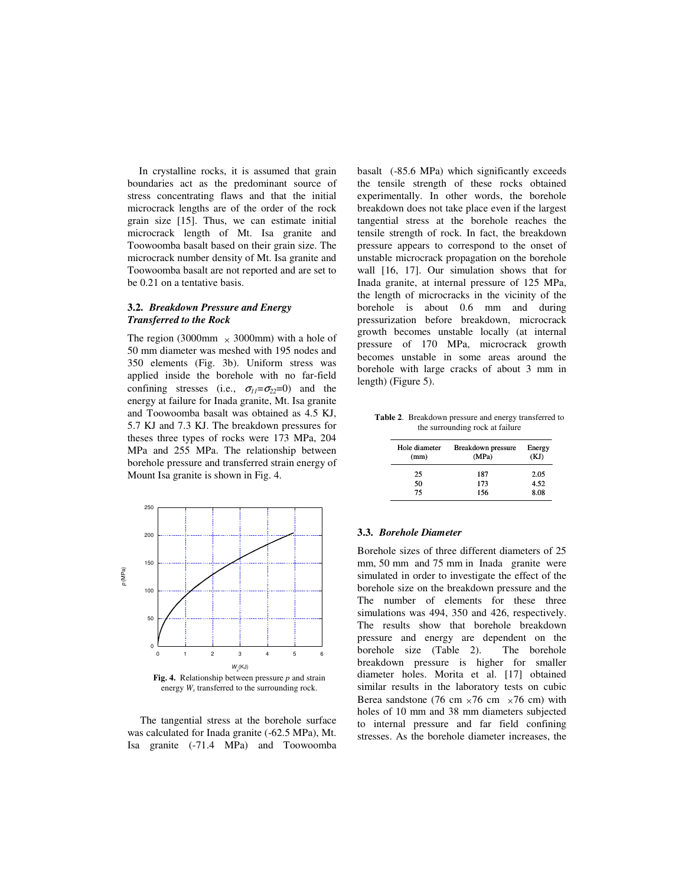In crystalline rocks, it is assumed that grain boundaries act as the predominant source of stress concentrating flaws and that the initial microcrack lengths are of the order of the rock grain size [15]. Thus, we can estimate initial microcrack length of Mt. Isa granite and Toowoomba basalt based on their grain size. The microcrack number density of Mt. Isa granite and Toowoomba basalt are not reported and are set to be 0.21 on a tentative basis.

## **3.2.** *Breakdown Pressure and Energy Transferred to the Rock*

The region (3000mm  $\times$  3000mm) with a hole of 50 mm diameter was meshed with 195 nodes and 350 elements (Fig. 3b). Uniform stress was applied inside the borehole with no far-field confining stresses (i.e.,  $\sigma_{11} = \sigma_{22} = 0$ ) and the energy at failure for Inada granite, Mt. Isa granite and Toowoomba basalt was obtained as 4.5 KJ, 5.7 KJ and 7.3 KJ. The breakdown pressures for theses three types of rocks were 173 MPa, 204 MPa and 255 MPa. The relationship between borehole pressure and transferred strain energy of Mount Isa granite is shown in Fig. 4.



energy *Ws* transferred to the surrounding rock.

The tangential stress at the borehole surface was calculated for Inada granite (-62.5 MPa), Mt. Isa granite (-71.4 MPa) and Toowoomba

basalt (-85.6 MPa) which significantly exceeds the tensile strength of these rocks obtained experimentally. In other words, the borehole breakdown does not take place even if the largest tangential stress at the borehole reaches the tensile strength of rock. In fact, the breakdown pressure appears to correspond to the onset of unstable microcrack propagation on the borehole wall [16, 17]. Our simulation shows that for Inada granite, at internal pressure of 125 MPa, the length of microcracks in the vicinity of the borehole is about 0.6 mm and during pressurization before breakdown, microcrack growth becomes unstable locally (at internal pressure of 170 MPa, microcrack growth becomes unstable in some areas around the borehole with large cracks of about 3 mm in length) (Figure 5).

**Table 2**. Breakdown pressure and energy transferred to the surrounding rock at failure

| Hole diameter<br>(mm) | <b>Breakdown</b> pressure<br>(MPa) | Energy<br>(KJ) |
|-----------------------|------------------------------------|----------------|
| 25                    | 187                                | 2.05           |
| 50                    | 173                                | 4.52           |
| 75                    | 156                                | 8.08           |

# **3.3.** *Borehole Diameter*

Borehole sizes of three different diameters of 25 mm, 50 mm and 75 mm in Inada granite were simulated in order to investigate the effect of the borehole size on the breakdown pressure and the The number of elements for these three simulations was 494, 350 and 426, respectively. The results show that borehole breakdown pressure and energy are dependent on the borehole size (Table 2). The borehole breakdown pressure is higher for smaller diameter holes. Morita et al. [17] obtained similar results in the laboratory tests on cubic Berea sandstone (76 cm  $\times$ 76 cm  $\times$ 76 cm) with holes of 10 mm and 38 mm diameters subjected to internal pressure and far field confining stresses. As the borehole diameter increases, the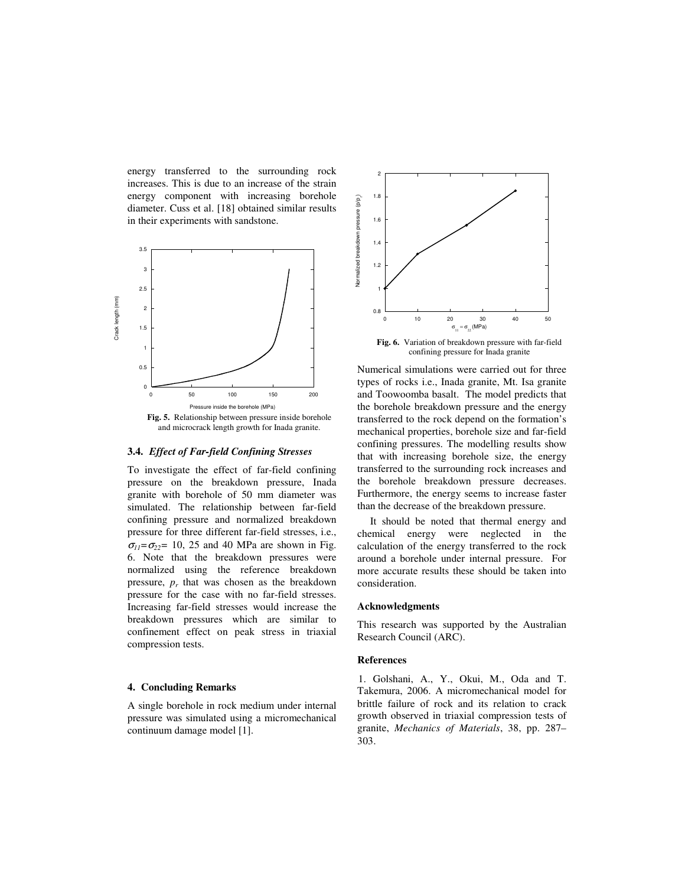energy transferred to the surrounding rock increases. This is due to an increase of the strain energy component with increasing borehole diameter. Cuss et al. [18] obtained similar results in their experiments with sandstone.



#### **3.4.** *Effect of Far-field Confining Stresses*

To investigate the effect of far-field confining pressure on the breakdown pressure, Inada granite with borehole of 50 mm diameter was simulated. The relationship between far-field confining pressure and normalized breakdown pressure for three different far-field stresses, i.e.,  $\sigma_{11} = \sigma_{22} = 10$ , 25 and 40 MPa are shown in Fig. 6. Note that the breakdown pressures were normalized using the reference breakdown pressure,  $p_r$  that was chosen as the breakdown pressure for the case with no far-field stresses. Increasing far-field stresses would increase the breakdown pressures which are similar to confinement effect on peak stress in triaxial compression tests.

### **4. Concluding Remarks**

A single borehole in rock medium under internal pressure was simulated using a micromechanical continuum damage model [1].



**Fig. 6.** Variation of breakdown pressure with far-field confining pressure for Inada granite

Numerical simulations were carried out for three types of rocks i.e., Inada granite, Mt. Isa granite and Toowoomba basalt. The model predicts that the borehole breakdown pressure and the energy transferred to the rock depend on the formation's mechanical properties, borehole size and far-field confining pressures. The modelling results show that with increasing borehole size, the energy transferred to the surrounding rock increases and the borehole breakdown pressure decreases. Furthermore, the energy seems to increase faster than the decrease of the breakdown pressure.

It should be noted that thermal energy and chemical energy were neglected in the calculation of the energy transferred to the rock around a borehole under internal pressure. For more accurate results these should be taken into consideration.

## **Acknowledgments**

This research was supported by the Australian Research Council (ARC).

#### **References**

1. Golshani, A., Y., Okui, M., Oda and T. Takemura, 2006. A micromechanical model for brittle failure of rock and its relation to crack growth observed in triaxial compression tests of granite, *Mechanics of Materials*, 38, pp. 287– 303.